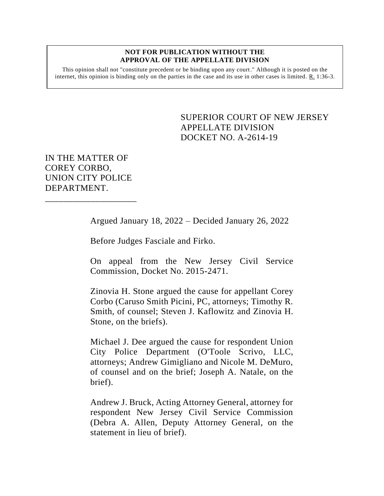#### **NOT FOR PUBLICATION WITHOUT THE APPROVAL OF THE APPELLATE DIVISION**

This opinion shall not "constitute precedent or be binding upon any court." Although it is posted on the internet, this opinion is binding only on the parties in the case and its use in other cases is limited.  $R_1$  1:36-3.

> <span id="page-0-0"></span>SUPERIOR COURT OF NEW JERSEY APPELLATE DIVISION DOCKET NO. A-2614-19

IN THE MATTER OF COREY CORBO, UNION CITY POLICE DEPARTMENT.

\_\_\_\_\_\_\_\_\_\_\_\_\_\_\_\_\_\_\_\_

Argued January 18, 2022 – Decided January 26, 2022

Before Judges Fasciale and Firko.

On appeal from the New Jersey Civil Service Commission, Docket No. 2015-2471.

Zinovia H. Stone argued the cause for appellant Corey Corbo (Caruso Smith Picini, PC, attorneys; Timothy R. Smith, of counsel; Steven J. Kaflowitz and Zinovia H. Stone, on the briefs).

Michael J. Dee argued the cause for respondent Union City Police Department (O'Toole Scrivo, LLC, attorneys; Andrew Gimigliano and Nicole M. DeMuro, of counsel and on the brief; Joseph A. Natale, on the brief).

Andrew J. Bruck, Acting Attorney General, attorney for respondent New Jersey Civil Service Commission (Debra A. Allen, Deputy Attorney General, on the statement in lieu of brief).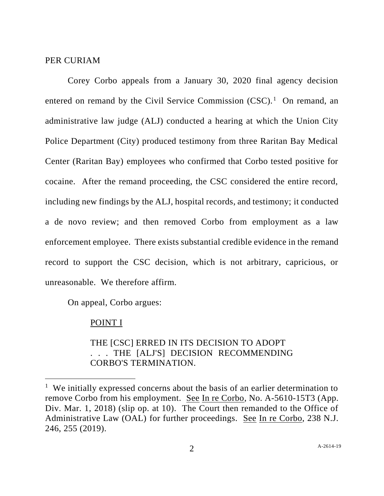### PER CURIAM

Corey Corbo appeals from a January 30, 2020 final agency decision entered on remand by the Civil Service Commission  $(CSC)^1$  On remand, an administrative law judge (ALJ) conducted a hearing at which the Union City Police Department (City) produced testimony from three Raritan Bay Medical Center (Raritan Bay) employees who confirmed that Corbo tested positive for cocaine. After the remand proceeding, the CSC considered the entire record, including new findings by the ALJ, hospital records, and testimony; it conducted a de novo review; and then removed Corbo from employment as a law enforcement employee. There exists substantial credible evidence in the remand record to support the CSC decision, which is not arbitrary, capricious, or unreasonable. We therefore affirm.

On appeal, Corbo argues:

### POINT I

THE [CSC] ERRED IN ITS DECISION TO ADOPT . . . THE [ALJ'S] DECISION RECOMMENDING CORBO'S TERMINATION.

<sup>&</sup>lt;sup>1</sup> We initially expressed concerns about the basis of an earlier determination to remove Corbo from his employment. See In re Corbo, No. A-5610-15T3 (App. Div. Mar. 1, 2018) (slip op. at 10). The Court then remanded to the Office of Administrative Law (OAL) for further proceedings. See In re Corbo, 238 N.J. 246, 255 (2019).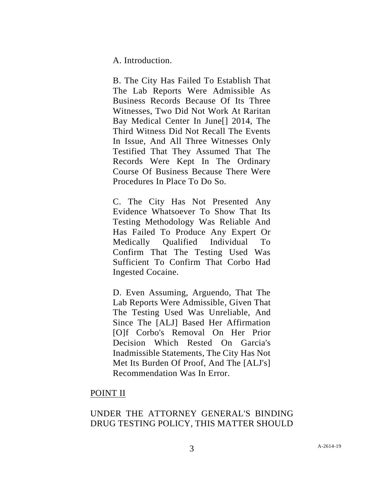A. Introduction.

B. The City Has Failed To Establish That The Lab Reports Were Admissible As Business Records Because Of Its Three Witnesses, Two Did Not Work At Raritan Bay Medical Center In June[] 2014, The Third Witness Did Not Recall The Events In Issue, And All Three Witnesses Only Testified That They Assumed That The Records Were Kept In The Ordinary Course Of Business Because There Were Procedures In Place To Do So.

C. The City Has Not Presented Any Evidence Whatsoever To Show That Its Testing Methodology Was Reliable And Has Failed To Produce Any Expert Or Medically Qualified Individual To Confirm That The Testing Used Was Sufficient To Confirm That Corbo Had Ingested Cocaine.

D. Even Assuming, Arguendo, That The Lab Reports Were Admissible, Given That The Testing Used Was Unreliable, And Since The [ALJ] Based Her Affirmation [O]f Corbo's Removal On Her Prior Decision Which Rested On Garcia's Inadmissible Statements, The City Has Not Met Its Burden Of Proof, And The [ALJ's] Recommendation Was In Error.

### POINT II

# UNDER THE ATTORNEY GENERAL'S BINDING DRUG TESTING POLICY, THIS MATTER SHOULD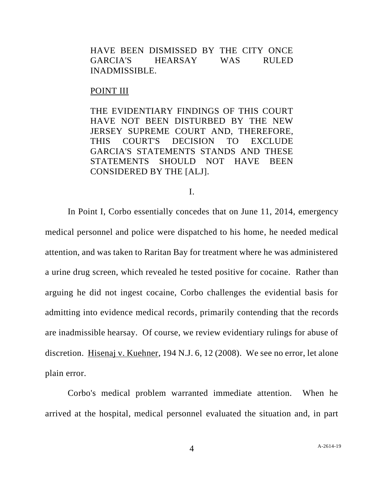HAVE BEEN DISMISSED BY THE CITY ONCE GARCIA'S HEARSAY WAS RULED INADMISSIBLE.

#### POINT III

THE EVIDENTIARY FINDINGS OF THIS COURT HAVE NOT BEEN DISTURBED BY THE NEW JERSEY SUPREME COURT AND, THEREFORE, THIS COURT'S DECISION TO EXCLUDE GARCIA'S STATEMENTS STANDS AND THESE STATEMENTS SHOULD NOT HAVE BEEN CONSIDERED BY THE [ALJ].

I.

In Point I, Corbo essentially concedes that on June 11, 2014, emergency medical personnel and police were dispatched to his home, he needed medical attention, and was taken to Raritan Bay for treatment where he was administered a urine drug screen, which revealed he tested positive for cocaine. Rather than arguing he did not ingest cocaine, Corbo challenges the evidential basis for admitting into evidence medical records, primarily contending that the records are inadmissible hearsay. Of course, we review evidentiary rulings for abuse of discretion. Hisenaj v. Kuehner, 194 N.J. 6, 12 (2008). We see no error, let alone plain error.

Corbo's medical problem warranted immediate attention. When he arrived at the hospital, medical personnel evaluated the situation and, in part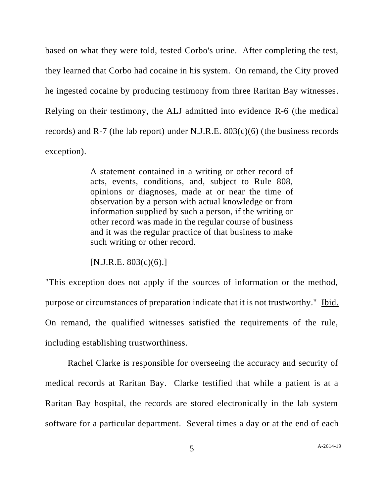based on what they were told, tested Corbo's urine. After completing the test, they learned that Corbo had cocaine in his system. On remand, the City proved he ingested cocaine by producing testimony from three Raritan Bay witnesses. Relying on their testimony, the ALJ admitted into evidence R-6 (the medical records) and R-7 (the lab report) under N.J.R.E.  $803(c)(6)$  (the business records exception).

> A statement contained in a writing or other record of acts, events, conditions, and, subject to Rule 808, opinions or diagnoses, made at or near the time of observation by a person with actual knowledge or from information supplied by such a person, if the writing or other record was made in the regular course of business and it was the regular practice of that business to make such writing or other record.

 $[N.J.R.E. 803(c)(6).]$ 

"This exception does not apply if the sources of information or the method, purpose or circumstances of preparation indicate that it is not trustworthy." Ibid. On remand, the qualified witnesses satisfied the requirements of the rule, including establishing trustworthiness.

Rachel Clarke is responsible for overseeing the accuracy and security of medical records at Raritan Bay. Clarke testified that while a patient is at a Raritan Bay hospital, the records are stored electronically in the lab system software for a particular department. Several times a day or at the end of each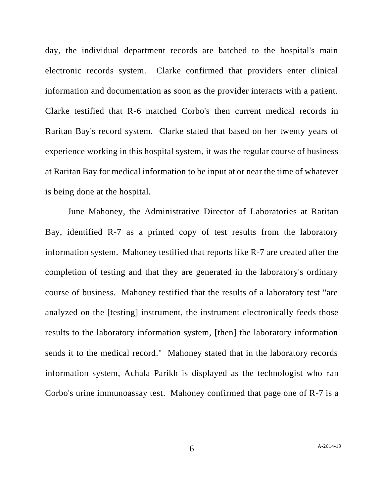day, the individual department records are batched to the hospital's main electronic records system. Clarke confirmed that providers enter clinical information and documentation as soon as the provider interacts with a patient. Clarke testified that R-6 matched Corbo's then current medical records in Raritan Bay's record system. Clarke stated that based on her twenty years of experience working in this hospital system, it was the regular course of business at Raritan Bay for medical information to be input at or near the time of whatever is being done at the hospital.

June Mahoney, the Administrative Director of Laboratories at Raritan Bay, identified R-7 as a printed copy of test results from the laboratory information system. Mahoney testified that reports like R-7 are created after the completion of testing and that they are generated in the laboratory's ordinary course of business. Mahoney testified that the results of a laboratory test "are analyzed on the [testing] instrument, the instrument electronically feeds those results to the laboratory information system, [then] the laboratory information sends it to the medical record." Mahoney stated that in the laboratory records information system, Achala Parikh is displayed as the technologist who ran Corbo's urine immunoassay test. Mahoney confirmed that page one of R-7 is a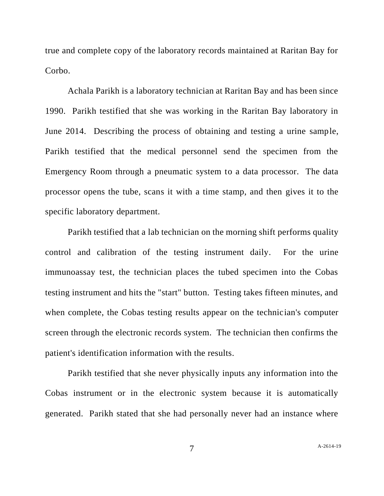true and complete copy of the laboratory records maintained at Raritan Bay for Corbo.

Achala Parikh is a laboratory technician at Raritan Bay and has been since 1990. Parikh testified that she was working in the Raritan Bay laboratory in June 2014. Describing the process of obtaining and testing a urine sample, Parikh testified that the medical personnel send the specimen from the Emergency Room through a pneumatic system to a data processor. The data processor opens the tube, scans it with a time stamp, and then gives it to the specific laboratory department.

Parikh testified that a lab technician on the morning shift performs quality control and calibration of the testing instrument daily. For the urine immunoassay test, the technician places the tubed specimen into the Cobas testing instrument and hits the "start" button. Testing takes fifteen minutes, and when complete, the Cobas testing results appear on the technician's computer screen through the electronic records system. The technician then confirms the patient's identification information with the results.

Parikh testified that she never physically inputs any information into the Cobas instrument or in the electronic system because it is automatically generated. Parikh stated that she had personally never had an instance where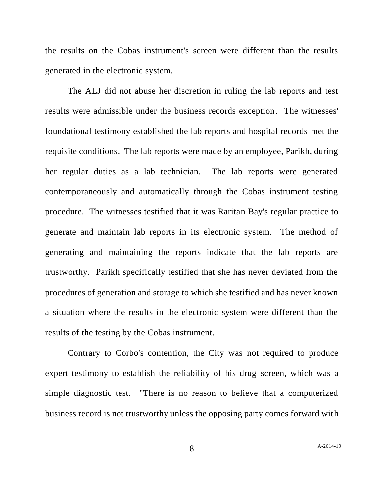the results on the Cobas instrument's screen were different than the results generated in the electronic system.

The ALJ did not abuse her discretion in ruling the lab reports and test results were admissible under the business records exception. The witnesses' foundational testimony established the lab reports and hospital records met the requisite conditions. The lab reports were made by an employee, Parikh, during her regular duties as a lab technician. The lab reports were generated contemporaneously and automatically through the Cobas instrument testing procedure. The witnesses testified that it was Raritan Bay's regular practice to generate and maintain lab reports in its electronic system. The method of generating and maintaining the reports indicate that the lab reports are trustworthy. Parikh specifically testified that she has never deviated from the procedures of generation and storage to which she testified and has never known a situation where the results in the electronic system were different than the results of the testing by the Cobas instrument.

Contrary to Corbo's contention, the City was not required to produce expert testimony to establish the reliability of his drug screen, which was a simple diagnostic test. "There is no reason to believe that a computerized business record is not trustworthy unless the opposing party comes forward with

8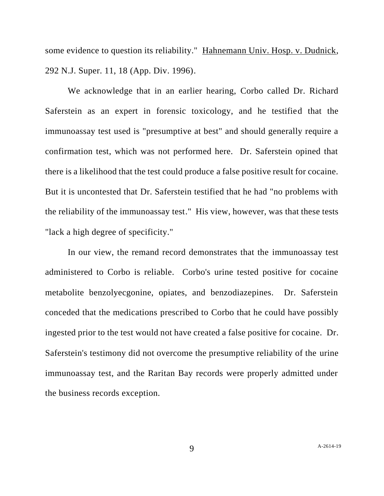some evidence to question its reliability." Hahnemann Univ. Hosp. v. Dudnick, 292 N.J. Super. 11, 18 (App. Div. 1996).

We acknowledge that in an earlier hearing, Corbo called Dr. Richard Saferstein as an expert in forensic toxicology, and he testified that the immunoassay test used is "presumptive at best" and should generally require a confirmation test, which was not performed here. Dr. Saferstein opined that there is a likelihood that the test could produce a false positive result for cocaine. But it is uncontested that Dr. Saferstein testified that he had "no problems with the reliability of the immunoassay test." His view, however, was that these tests "lack a high degree of specificity."

In our view, the remand record demonstrates that the immunoassay test administered to Corbo is reliable. Corbo's urine tested positive for cocaine metabolite benzolyecgonine, opiates, and benzodiazepines. Dr. Saferstein conceded that the medications prescribed to Corbo that he could have possibly ingested prior to the test would not have created a false positive for cocaine. Dr. Saferstein's testimony did not overcome the presumptive reliability of the urine immunoassay test, and the Raritan Bay records were properly admitted under the business records exception.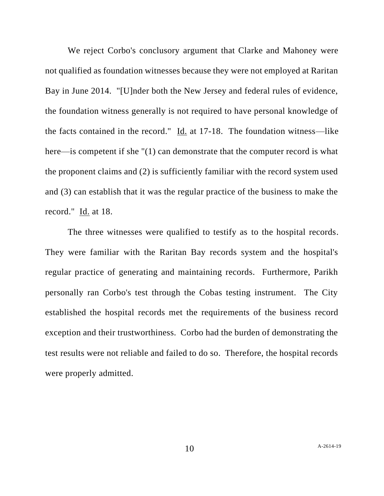We reject Corbo's conclusory argument that Clarke and Mahoney were not qualified as foundation witnesses because they were not employed at Raritan Bay in June 2014. "[U]nder both the New Jersey and federal rules of evidence, the foundation witness generally is not required to have personal knowledge of the facts contained in the record." Id. at 17-18. The foundation witness—like here—is competent if she "(1) can demonstrate that the computer record is what the proponent claims and (2) is sufficiently familiar with the record system used and (3) can establish that it was the regular practice of the business to make the record." Id. at 18.

The three witnesses were qualified to testify as to the hospital records. They were familiar with the Raritan Bay records system and the hospital's regular practice of generating and maintaining records. Furthermore, Parikh personally ran Corbo's test through the Cobas testing instrument. The City established the hospital records met the requirements of the business record exception and their trustworthiness. Corbo had the burden of demonstrating the test results were not reliable and failed to do so. Therefore, the hospital records were properly admitted.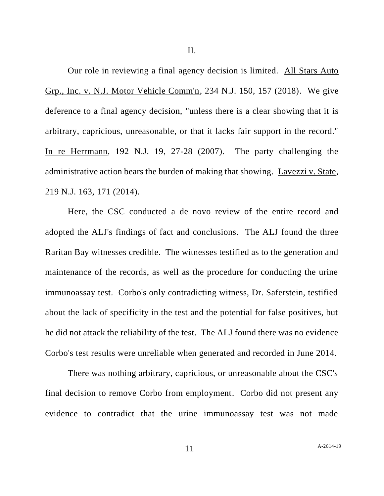II.

Our role in reviewing a final agency decision is limited. All Stars Auto Grp., Inc. v. N.J. Motor Vehicle Comm'n, 234 N.J. 150, 157 (2018). We give deference to a final agency decision, "unless there is a clear showing that it is arbitrary, capricious, unreasonable, or that it lacks fair support in the record." In re Herrmann, 192 N.J. 19, 27-28 (2007). The party challenging the administrative action bears the burden of making that showing. Lavezzi v. State, 219 N.J. 163, 171 (2014).

Here, the CSC conducted a de novo review of the entire record and adopted the ALJ's findings of fact and conclusions. The ALJ found the three Raritan Bay witnesses credible. The witnesses testified as to the generation and maintenance of the records, as well as the procedure for conducting the urine immunoassay test. Corbo's only contradicting witness, Dr. Saferstein, testified about the lack of specificity in the test and the potential for false positives, but he did not attack the reliability of the test. The ALJ found there was no evidence Corbo's test results were unreliable when generated and recorded in June 2014.

There was nothing arbitrary, capricious, or unreasonable about the CSC's final decision to remove Corbo from employment. Corbo did not present any evidence to contradict that the urine immunoassay test was not made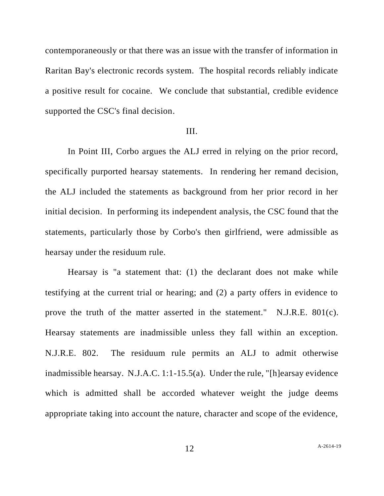contemporaneously or that there was an issue with the transfer of information in Raritan Bay's electronic records system. The hospital records reliably indicate a positive result for cocaine. We conclude that substantial, credible evidence supported the CSC's final decision.

## III.

In Point III, Corbo argues the ALJ erred in relying on the prior record, specifically purported hearsay statements. In rendering her remand decision, the ALJ included the statements as background from her prior record in her initial decision. In performing its independent analysis, the CSC found that the statements, particularly those by Corbo's then girlfriend, were admissible as hearsay under the residuum rule.

Hearsay is "a statement that: (1) the declarant does not make while testifying at the current trial or hearing; and (2) a party offers in evidence to prove the truth of the matter asserted in the statement." N.J.R.E. 801(c). Hearsay statements are inadmissible unless they fall within an exception. N.J.R.E. 802. The residuum rule permits an ALJ to admit otherwise inadmissible hearsay. N.J.A.C. 1:1-15.5(a). Under the rule, "[h]earsay evidence which is admitted shall be accorded whatever weight the judge deems appropriate taking into account the nature, character and scope of the evidence,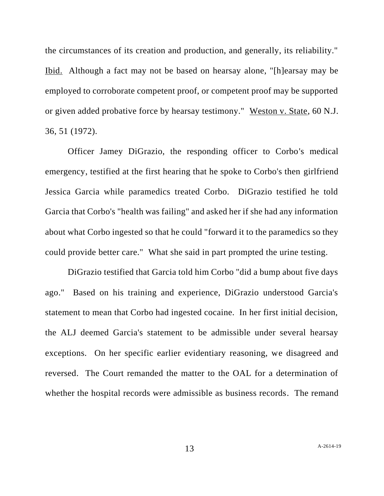the circumstances of its creation and production, and generally, its reliability." Ibid. Although a fact may not be based on hearsay alone, "[h]earsay may be employed to corroborate competent proof, or competent proof may be supported or given added probative force by hearsay testimony." Weston v. State, 60 N.J. 36, 51 (1972).

Officer Jamey DiGrazio, the responding officer to Corbo's medical emergency, testified at the first hearing that he spoke to Corbo's then girlfriend Jessica Garcia while paramedics treated Corbo. DiGrazio testified he told Garcia that Corbo's "health was failing" and asked her if she had any information about what Corbo ingested so that he could "forward it to the paramedics so they could provide better care." What she said in part prompted the urine testing.

DiGrazio testified that Garcia told him Corbo "did a bump about five days ago." Based on his training and experience, DiGrazio understood Garcia's statement to mean that Corbo had ingested cocaine. In her first initial decision, the ALJ deemed Garcia's statement to be admissible under several hearsay exceptions. On her specific earlier evidentiary reasoning, we disagreed and reversed. The Court remanded the matter to the OAL for a determination of whether the hospital records were admissible as business records. The remand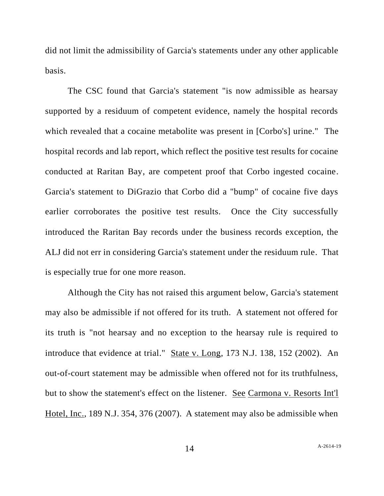did not limit the admissibility of Garcia's statements under any other applicable basis.

The CSC found that Garcia's statement "is now admissible as hearsay supported by a residuum of competent evidence, namely the hospital records which revealed that a cocaine metabolite was present in [Corbo's] urine." The hospital records and lab report, which reflect the positive test results for cocaine conducted at Raritan Bay, are competent proof that Corbo ingested cocaine. Garcia's statement to DiGrazio that Corbo did a "bump" of cocaine five days earlier corroborates the positive test results. Once the City successfully introduced the Raritan Bay records under the business records exception, the ALJ did not err in considering Garcia's statement under the residuum rule. That is especially true for one more reason.

Although the City has not raised this argument below, Garcia's statement may also be admissible if not offered for its truth. A statement not offered for its truth is "not hearsay and no exception to the hearsay rule is required to introduce that evidence at trial." State v. Long, 173 N.J. 138, 152 (2002). An out-of-court statement may be admissible when offered not for its truthfulness, but to show the statement's effect on the listener. See Carmona v. Resorts Int'l Hotel, Inc., 189 N.J. 354, 376 (2007). A statement may also be admissible when